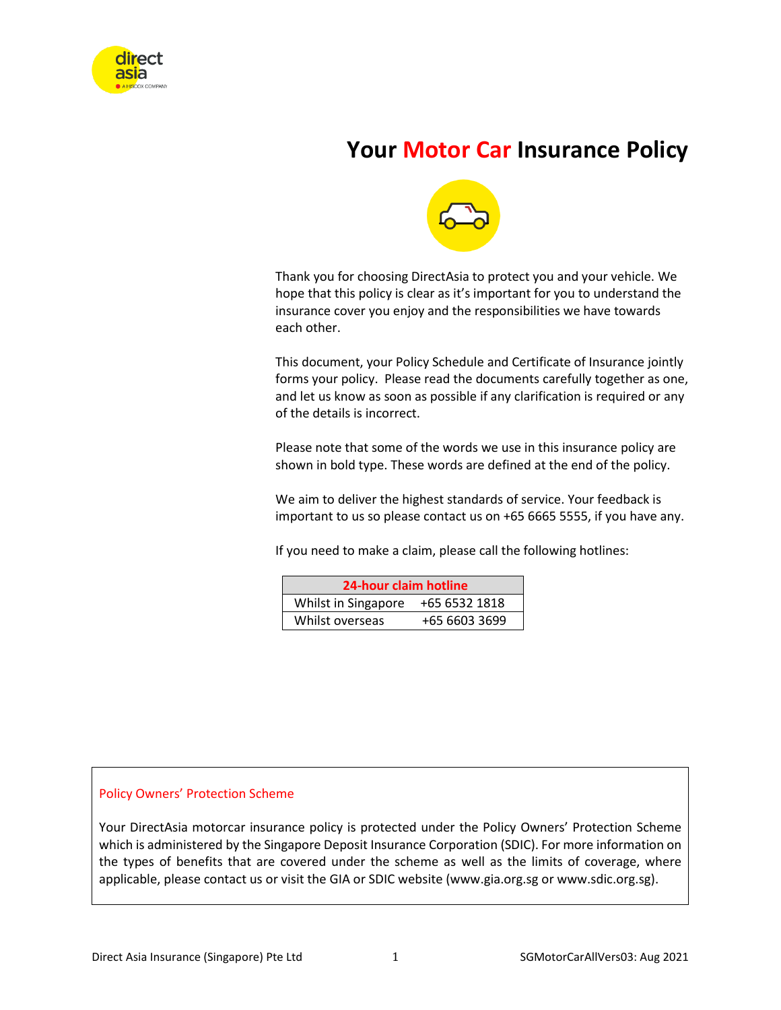

# **Your Motor Car Insurance Policy**



Thank you for choosing DirectAsia to protect you and your vehicle. We hope that this policy is clear as it's important for you to understand the insurance cover you enjoy and the responsibilities we have towards each other.

This document, your Policy Schedule and Certificate of Insurance jointly forms your policy. Please read the documents carefully together as one, and let us know as soon as possible if any clarification is required or any of the details is incorrect.

Please note that some of the words we use in this insurance policy are shown in bold type. These words are defined at the end of the policy.

We aim to deliver the highest standards of service. Your feedback is important to us so please contact us on +65 6665 5555, if you have any.

If you need to make a claim, please call the following hotlines:

| 24-hour claim hotline |               |  |
|-----------------------|---------------|--|
| Whilst in Singapore   | +65 6532 1818 |  |
| Whilst overseas       | +65 6603 3699 |  |

#### Policy Owners' Protection Scheme

Your DirectAsia motorcar insurance policy is protected under the Policy Owners' Protection Scheme which is administered by the Singapore Deposit Insurance Corporation (SDIC). For more information on the types of benefits that are covered under the scheme as well as the limits of coverage, where applicable, please contact us or visit the GIA or SDIC website (www.gia.org.sg or www.sdic.org.sg).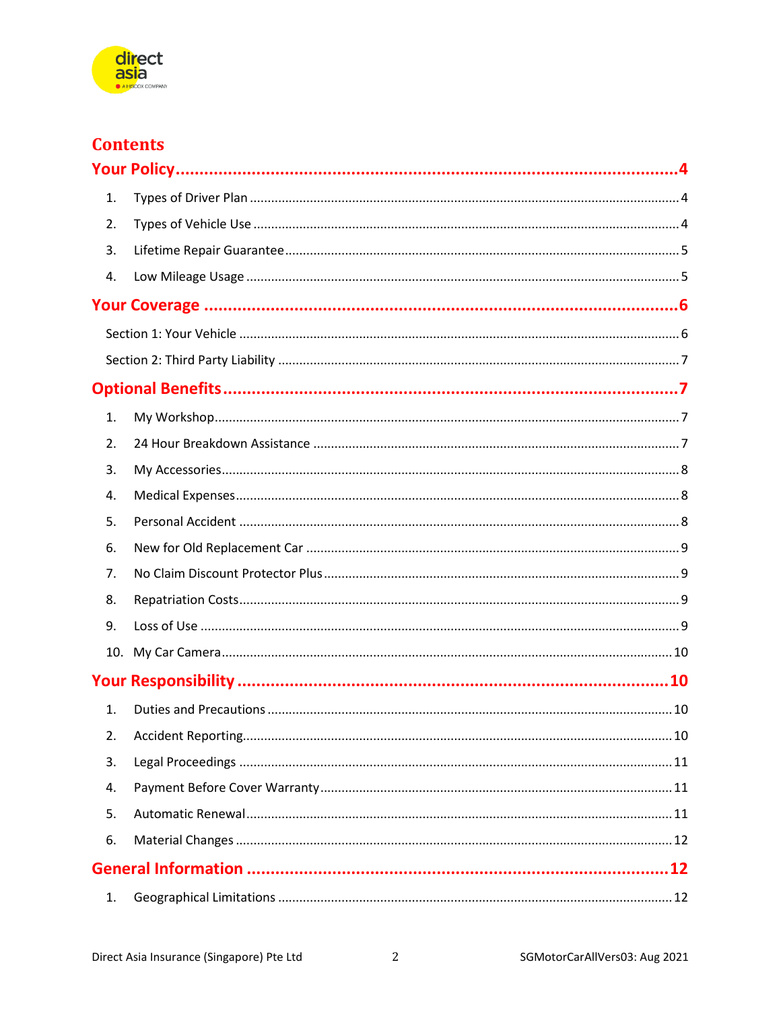

## **Contents**

| 1. |  |
|----|--|
| 2. |  |
| 3. |  |
| 4. |  |
|    |  |
|    |  |
|    |  |
|    |  |
| 1. |  |
| 2. |  |
| 3. |  |
| 4. |  |
| 5. |  |
| 6. |  |
| 7. |  |
| 8. |  |
| 9. |  |
|    |  |
|    |  |
| 1. |  |
| 2. |  |
| 3. |  |
| 4. |  |
| 5. |  |
| 6. |  |
|    |  |
| 1. |  |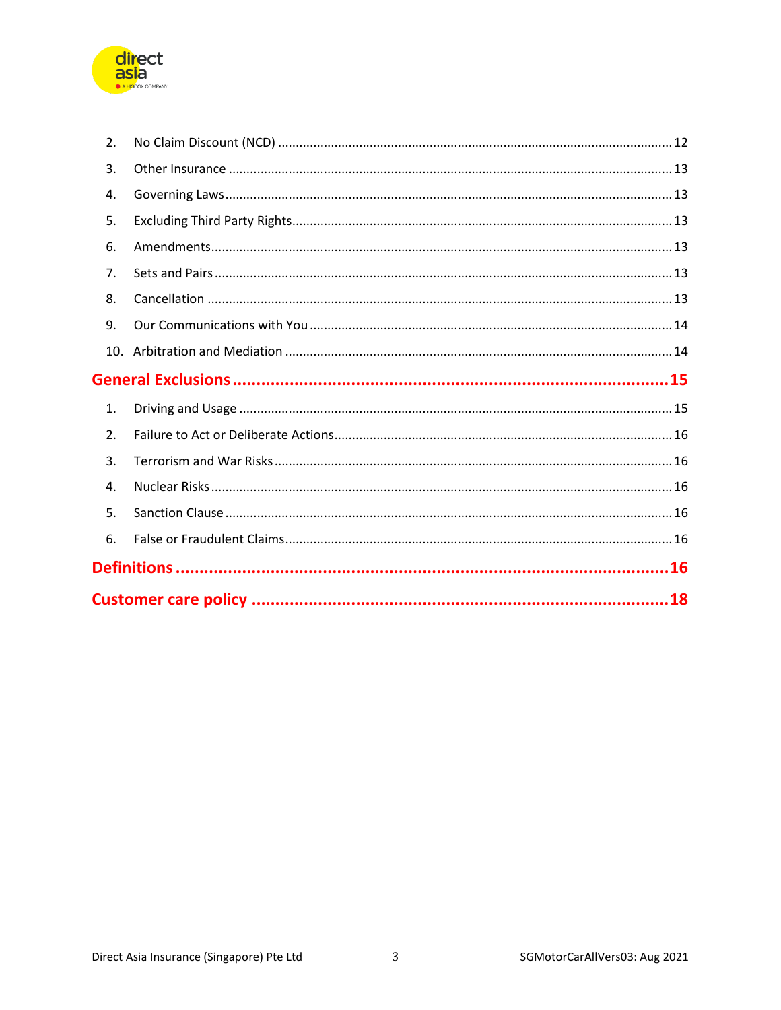

|    | .16 |
|----|-----|
| 6. |     |
| 5. |     |
| 4. |     |
| 3. |     |
| 2. |     |
| 1. |     |
|    |     |
|    |     |
| 9. |     |
| 8. |     |
| 7. |     |
| 6. |     |
| 5. |     |
| 4. |     |
| 3. |     |
| 2. |     |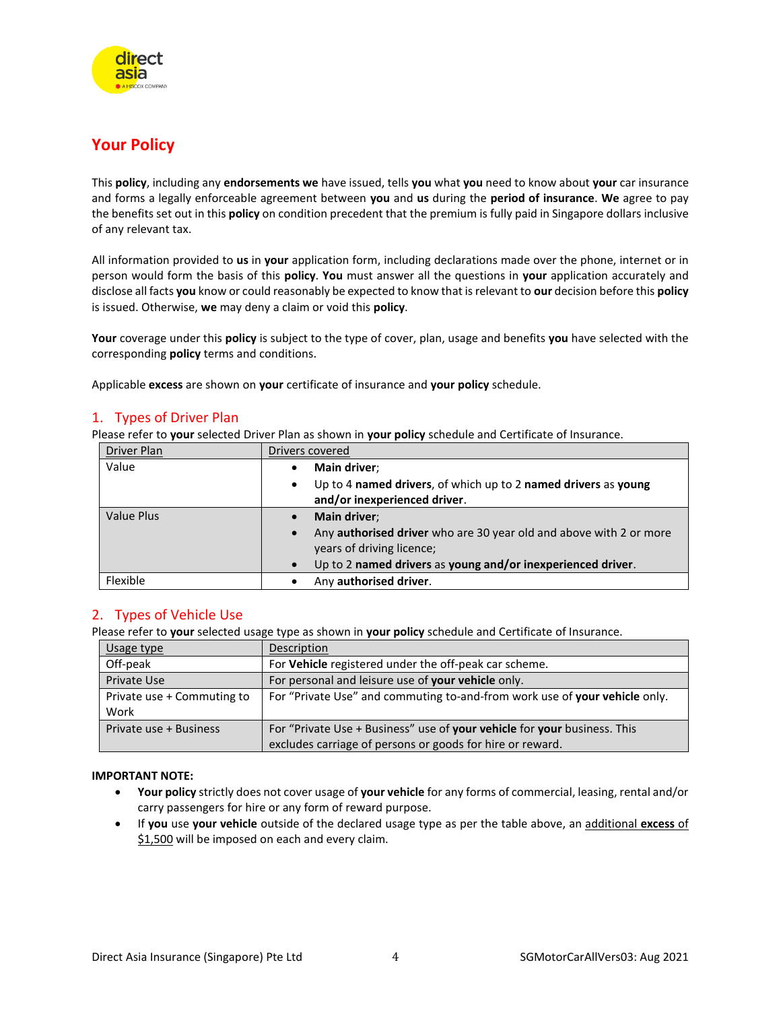

### <span id="page-3-0"></span>**Your Policy**

This **policy**, including any **endorsements we** have issued, tells **you** what **you** need to know about **your** car insurance and forms a legally enforceable agreement between **you** and **us** during the **period of insurance**. **We** agree to pay the benefits set out in this **policy** on condition precedent that the premium is fully paid in Singapore dollars inclusive of any relevant tax.

All information provided to **us** in **your** application form, including declarations made over the phone, internet or in person would form the basis of this **policy**. **You** must answer all the questions in **your** application accurately and disclose all facts **you** know or could reasonably be expected to know that is relevant to **our** decision before this **policy** is issued. Otherwise, **we** may deny a claim or void this **policy**.

**Your** coverage under this **policy** is subject to the type of cover, plan, usage and benefits **you** have selected with the corresponding **policy** terms and conditions.

Applicable **excess** are shown on **your** certificate of insurance and **your policy** schedule.

#### <span id="page-3-1"></span>1. Types of Driver Plan

Please refer to **your** selected Driver Plan as shown in **your policy** schedule and Certificate of Insurance.

| Driver Plan       | Drivers covered                                                                                                                                                                             |  |
|-------------------|---------------------------------------------------------------------------------------------------------------------------------------------------------------------------------------------|--|
| Value             | Main driver;<br>Up to 4 named drivers, of which up to 2 named drivers as young<br>$\bullet$<br>and/or inexperienced driver.                                                                 |  |
| <b>Value Plus</b> | Main driver:<br>Any authorised driver who are 30 year old and above with 2 or more<br>$\bullet$<br>years of driving licence;<br>Up to 2 named drivers as young and/or inexperienced driver. |  |
| Flexible          | Any authorised driver.                                                                                                                                                                      |  |

#### <span id="page-3-2"></span>2. Types of Vehicle Use

Please refer to **your** selected usage type as shown in **your policy** schedule and Certificate of Insurance.

| Usage type                 | Description                                                                |  |
|----------------------------|----------------------------------------------------------------------------|--|
| Off-peak                   | For Vehicle registered under the off-peak car scheme.                      |  |
| Private Use                | For personal and leisure use of your vehicle only.                         |  |
| Private use + Commuting to | For "Private Use" and commuting to-and-from work use of your vehicle only. |  |
| Work                       |                                                                            |  |
| Private use + Business     | For "Private Use + Business" use of your vehicle for your business. This   |  |
|                            | excludes carriage of persons or goods for hire or reward.                  |  |

#### **IMPORTANT NOTE:**

- **Your policy** strictly does not cover usage of **your vehicle** for any forms of commercial, leasing, rental and/or carry passengers for hire or any form of reward purpose.
- If **you** use **your vehicle** outside of the declared usage type as per the table above, an additional **excess** of \$1,500 will be imposed on each and every claim.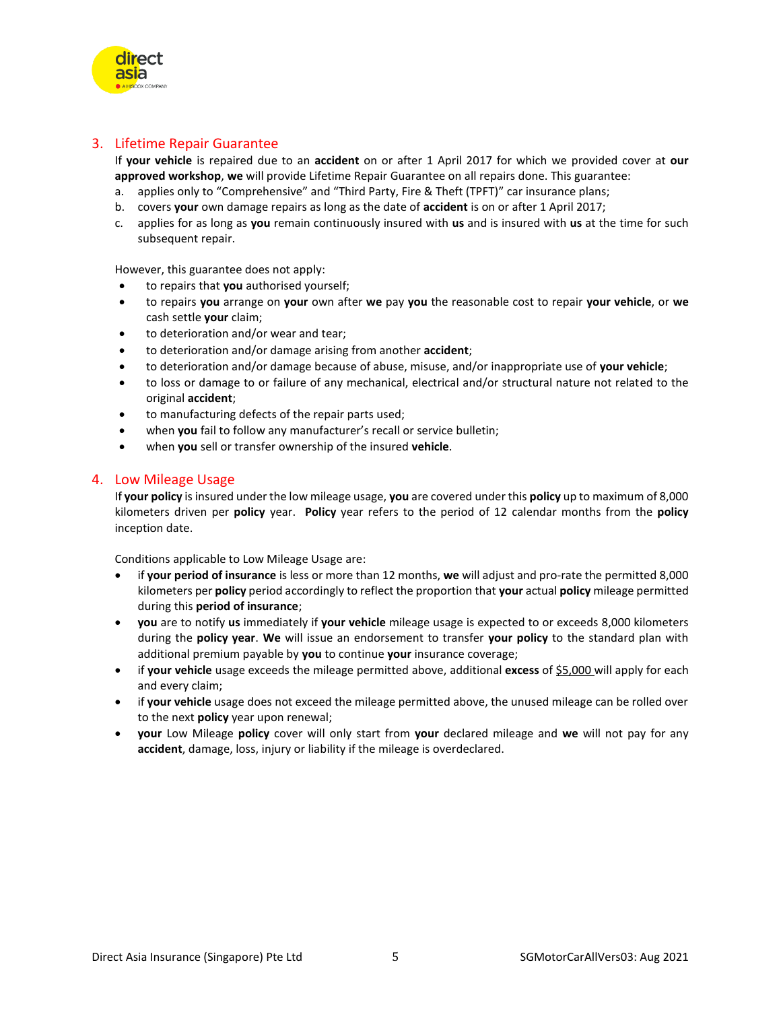

#### <span id="page-4-0"></span>3. Lifetime Repair Guarantee

If **your vehicle** is repaired due to an **accident** on or after 1 April 2017 for which we provided cover at **our approved workshop**, **we** will provide Lifetime Repair Guarantee on all repairs done. This guarantee:

- a. applies only to "Comprehensive" and "Third Party, Fire & Theft (TPFT)" car insurance plans;
- b. covers **your** own damage repairs as long as the date of **accident** is on or after 1 April 2017;
- c. applies for as long as **you** remain continuously insured with **us** and is insured with **us** at the time for such subsequent repair.

However, this guarantee does not apply:

- to repairs that **you** authorised yourself;
- to repairs **you** arrange on **your** own after **we** pay **you** the reasonable cost to repair **your vehicle**, or **we** cash settle **your** claim;
- to deterioration and/or wear and tear;
- to deterioration and/or damage arising from another **accident**;
- to deterioration and/or damage because of abuse, misuse, and/or inappropriate use of **your vehicle**;
- to loss or damage to or failure of any mechanical, electrical and/or structural nature not related to the original **accident**;
- to manufacturing defects of the repair parts used;
- when **you** fail to follow any manufacturer's recall or service bulletin;
- when **you** sell or transfer ownership of the insured **vehicle**.

#### <span id="page-4-1"></span>4. Low Mileage Usage

If **your policy** is insured under the low mileage usage, **you** are covered under this **policy** up to maximum of 8,000 kilometers driven per **policy** year. **Policy** year refers to the period of 12 calendar months from the **policy** inception date.

Conditions applicable to Low Mileage Usage are:

- if **your period of insurance** is less or more than 12 months, **we** will adjust and pro-rate the permitted 8,000 kilometers per **policy** period accordingly to reflect the proportion that **your** actual **policy** mileage permitted during this **period of insurance**;
- **you** are to notify **us** immediately if **your vehicle** mileage usage is expected to or exceeds 8,000 kilometers during the **policy year**. **We** will issue an endorsement to transfer **your policy** to the standard plan with additional premium payable by **you** to continue **your** insurance coverage;
- if **your vehicle** usage exceeds the mileage permitted above, additional **excess** of \$5,000 will apply for each and every claim;
- if **your vehicle** usage does not exceed the mileage permitted above, the unused mileage can be rolled over to the next **policy** year upon renewal;
- **your** Low Mileage **policy** cover will only start from **your** declared mileage and **we** will not pay for any **accident**, damage, loss, injury or liability if the mileage is overdeclared.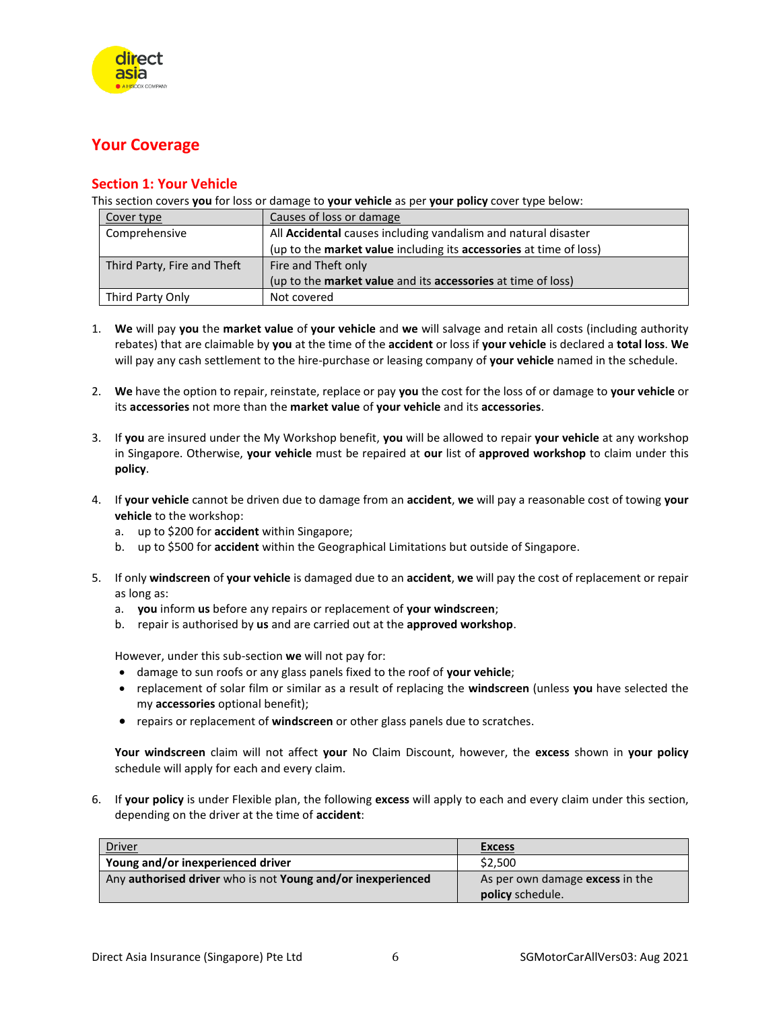

### <span id="page-5-0"></span>**Your Coverage**

#### <span id="page-5-1"></span>**Section 1: Your Vehicle**

This section covers **you** for loss or damage to **your vehicle** as per **your policy** cover type below:

| Cover type                  | Causes of loss or damage                                                   |  |
|-----------------------------|----------------------------------------------------------------------------|--|
| Comprehensive               | All Accidental causes including vandalism and natural disaster             |  |
|                             | (up to the market value including its accessories at time of loss)         |  |
| Third Party, Fire and Theft | Fire and Theft only                                                        |  |
|                             | (up to the <b>market value</b> and its <b>accessories</b> at time of loss) |  |
| Third Party Only            | Not covered                                                                |  |

- 1. **We** will pay **you** the **market value** of **your vehicle** and **we** will salvage and retain all costs (including authority rebates) that are claimable by **you** at the time of the **accident** or loss if **your vehicle** is declared a **total loss**. **We** will pay any cash settlement to the hire-purchase or leasing company of **your vehicle** named in the schedule.
- 2. **We** have the option to repair, reinstate, replace or pay **you** the cost for the loss of or damage to **your vehicle** or its **accessories** not more than the **market value** of **your vehicle** and its **accessories**.
- 3. If **you** are insured under the My Workshop benefit, **you** will be allowed to repair **your vehicle** at any workshop in Singapore. Otherwise, **your vehicle** must be repaired at **our** list of **approved workshop** to claim under this **policy**.
- 4. If **your vehicle** cannot be driven due to damage from an **accident**, **we** will pay a reasonable cost of towing **your vehicle** to the workshop:
	- a. up to \$200 for **accident** within Singapore;
	- b. up to \$500 for **accident** within the Geographical Limitations but outside of Singapore.
- 5. If only **windscreen** of **your vehicle** is damaged due to an **accident**, **we** will pay the cost of replacement or repair as long as:
	- a. **you** inform **us** before any repairs or replacement of **your windscreen**;
	- b. repair is authorised by **us** and are carried out at the **approved workshop**.

However, under this sub-section **we** will not pay for:

- damage to sun roofs or any glass panels fixed to the roof of **your vehicle**;
- replacement of solar film or similar as a result of replacing the **windscreen** (unless **you** have selected the my **accessories** optional benefit);
- repairs or replacement of **windscreen** or other glass panels due to scratches.

**Your windscreen** claim will not affect **your** No Claim Discount, however, the **excess** shown in **your policy** schedule will apply for each and every claim.

6. If **your policy** is under Flexible plan, the following **excess** will apply to each and every claim under this section, depending on the driver at the time of **accident**:

| Driver                                                      | <b>Excess</b>                   |
|-------------------------------------------------------------|---------------------------------|
| Young and/or inexperienced driver                           | \$2.500                         |
| Any authorised driver who is not Young and/or inexperienced | As per own damage excess in the |
|                                                             | <b>policy</b> schedule.         |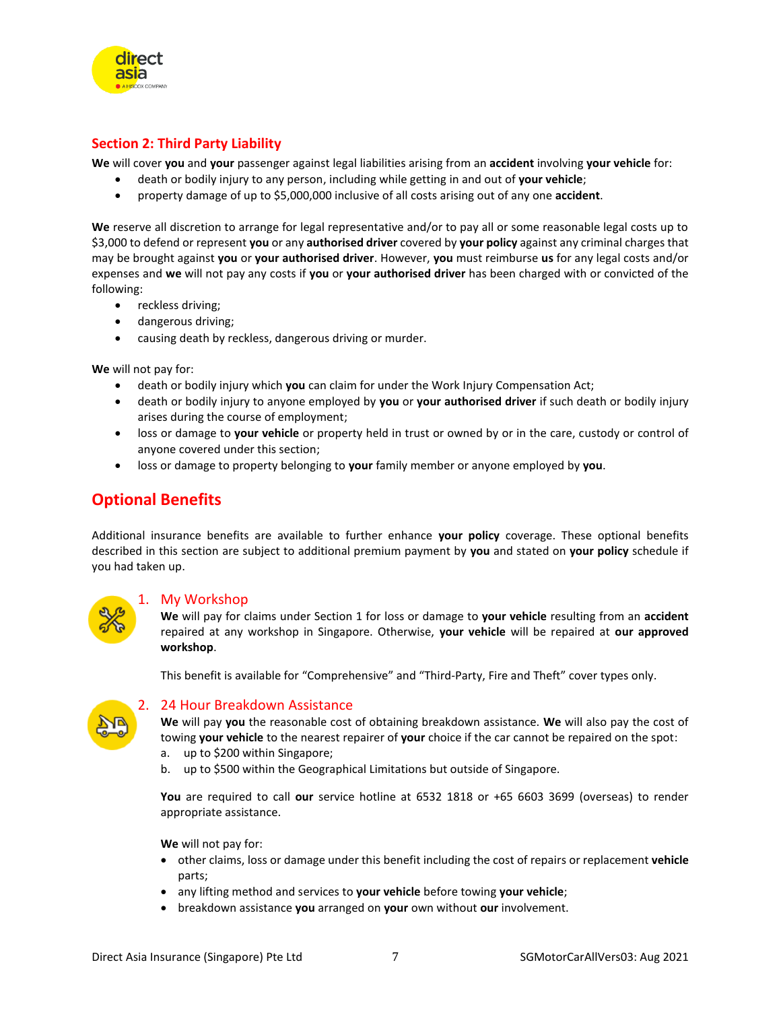<span id="page-6-0"></span>

direct

**We** will cover **you** and **your** passenger against legal liabilities arising from an **accident** involving **your vehicle** for:

- death or bodily injury to any person, including while getting in and out of **your vehicle**;
- property damage of up to \$5,000,000 inclusive of all costs arising out of any one **accident**.

**We** reserve all discretion to arrange for legal representative and/or to pay all or some reasonable legal costs up to \$3,000 to defend or represent **you** or any **authorised driver** covered by **your policy** against any criminal charges that may be brought against **you** or **your authorised driver**. However, **you** must reimburse **us** for any legal costs and/or expenses and **we** will not pay any costs if **you** or **your authorised driver** has been charged with or convicted of the following:

- reckless driving;
- dangerous driving;
- causing death by reckless, dangerous driving or murder.

**We** will not pay for:

- death or bodily injury which **you** can claim for under the Work Injury Compensation Act;
- death or bodily injury to anyone employed by **you** or **your authorised driver** if such death or bodily injury arises during the course of employment;
- loss or damage to **your vehicle** or property held in trust or owned by or in the care, custody or control of anyone covered under this section;
- loss or damage to property belonging to **your** family member or anyone employed by **you**.

### <span id="page-6-1"></span>**Optional Benefits**

Additional insurance benefits are available to further enhance **your policy** coverage. These optional benefits described in this section are subject to additional premium payment by **you** and stated on **your policy** schedule if you had taken up.

<span id="page-6-2"></span>

#### 1. My Workshop

**We** will pay for claims under Section 1 for loss or damage to **your vehicle** resulting from an **accident** repaired at any workshop in Singapore. Otherwise, **your vehicle** will be repaired at **our approved workshop**.

This benefit is available for "Comprehensive" and "Third-Party, Fire and Theft" cover types only.

<span id="page-6-3"></span>

#### 2. 24 Hour Breakdown Assistance

**We** will pay **you** the reasonable cost of obtaining breakdown assistance. **We** will also pay the cost of towing **your vehicle** to the nearest repairer of **your** choice if the car cannot be repaired on the spot:

- a. up to \$200 within Singapore;
- b. up to \$500 within the Geographical Limitations but outside of Singapore.

**You** are required to call **our** service hotline at 6532 1818 or +65 6603 3699 (overseas) to render appropriate assistance.

**We** will not pay for:

- other claims, loss or damage under this benefit including the cost of repairs or replacement **vehicle** parts;
- any lifting method and services to **your vehicle** before towing **your vehicle**;
- breakdown assistance **you** arranged on **your** own without **our** involvement.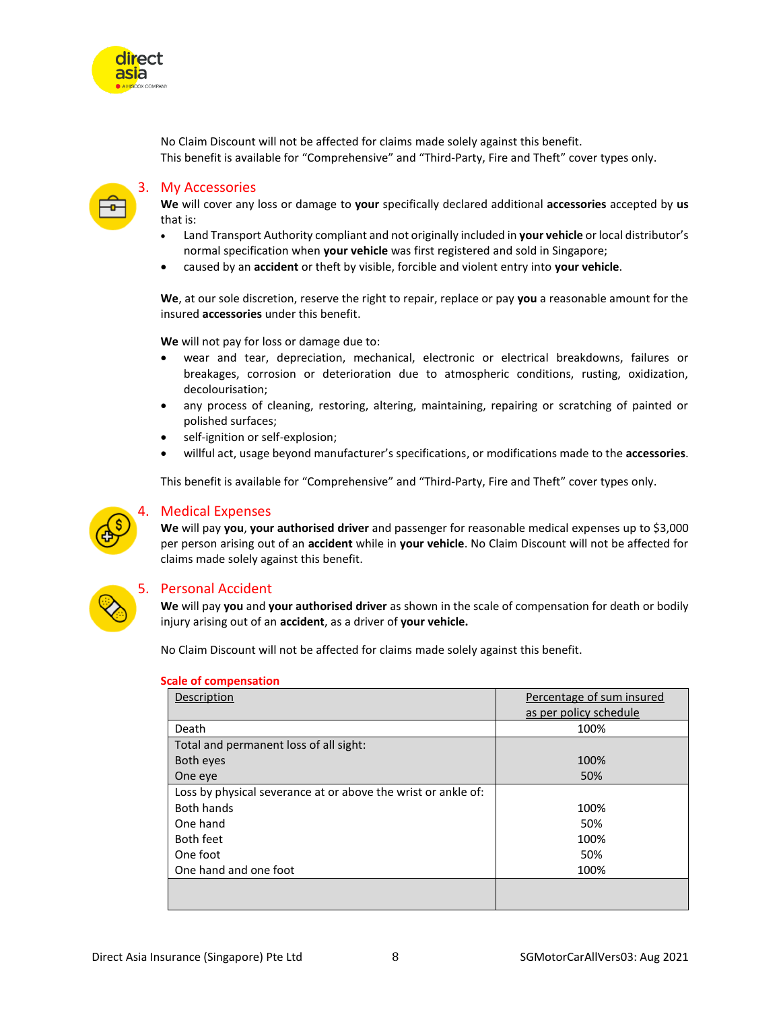

No Claim Discount will not be affected for claims made solely against this benefit. This benefit is available for "Comprehensive" and "Third-Party, Fire and Theft" cover types only.

<span id="page-7-0"></span>

#### 3. My Accessories

**We** will cover any loss or damage to **your** specifically declared additional **accessories** accepted by **us**  that is:

- Land Transport Authority compliant and not originally included in **your vehicle** or local distributor's normal specification when **your vehicle** was first registered and sold in Singapore;
- caused by an **accident** or theft by visible, forcible and violent entry into **your vehicle**.

**We**, at our sole discretion, reserve the right to repair, replace or pay **you** a reasonable amount for the insured **accessories** under this benefit.

**We** will not pay for loss or damage due to:

- wear and tear, depreciation, mechanical, electronic or electrical breakdowns, failures or breakages, corrosion or deterioration due to atmospheric conditions, rusting, oxidization, decolourisation;
- any process of cleaning, restoring, altering, maintaining, repairing or scratching of painted or polished surfaces;
- self-ignition or self-explosion;
- willful act, usage beyond manufacturer's specifications, or modifications made to the **accessories**.

This benefit is available for "Comprehensive" and "Third-Party, Fire and Theft" cover types only.

<span id="page-7-1"></span>

#### 4. Medical Expenses

**We** will pay **you**, **your authorised driver** and passenger for reasonable medical expenses up to \$3,000 per person arising out of an **accident** while in **your vehicle**. No Claim Discount will not be affected for claims made solely against this benefit.

<span id="page-7-2"></span>

#### 5. Personal Accident

**We** will pay **you** and **your authorised driver** as shown in the scale of compensation for death or bodily injury arising out of an **accident**, as a driver of **your vehicle.** 

No Claim Discount will not be affected for claims made solely against this benefit.

| Description                                                   | Percentage of sum insured |
|---------------------------------------------------------------|---------------------------|
|                                                               | as per policy schedule    |
| Death                                                         | 100%                      |
| Total and permanent loss of all sight:                        |                           |
| Both eyes                                                     | 100%                      |
| One eye                                                       | 50%                       |
| Loss by physical severance at or above the wrist or ankle of: |                           |
| <b>Both hands</b>                                             | 100%                      |
| One hand                                                      | 50%                       |
| <b>Both feet</b>                                              | 100%                      |
| One foot                                                      | 50%                       |
| One hand and one foot                                         | 100%                      |
|                                                               |                           |
|                                                               |                           |

#### **Scale of compensation**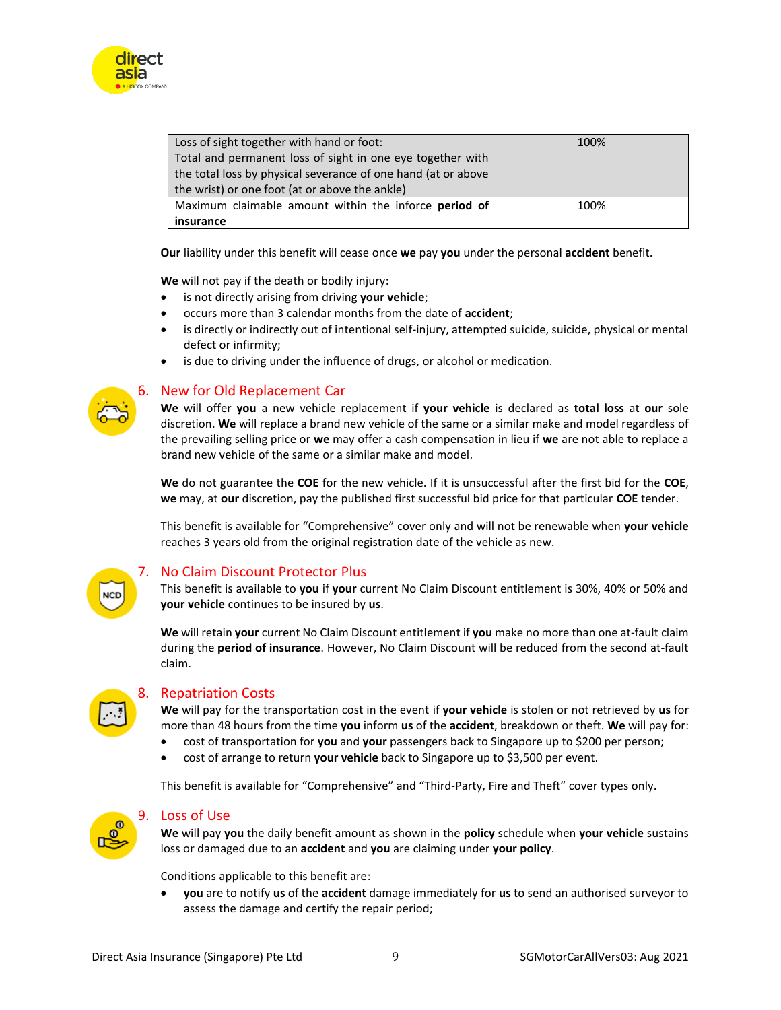

| Loss of sight together with hand or foot:                     | 100% |
|---------------------------------------------------------------|------|
| Total and permanent loss of sight in one eye together with    |      |
| the total loss by physical severance of one hand (at or above |      |
| the wrist) or one foot (at or above the ankle)                |      |
| Maximum claimable amount within the inforce <b>period of</b>  | 100% |
| insurance                                                     |      |

**Our** liability under this benefit will cease once **we** pay **you** under the personal **accident** benefit.

**We** will not pay if the death or bodily injury:

- is not directly arising from driving **your vehicle**;
- occurs more than 3 calendar months from the date of **accident**;
- is directly or indirectly out of intentional self-injury, attempted suicide, suicide, physical or mental defect or infirmity;
- is due to driving under the influence of drugs, or alcohol or medication.

<span id="page-8-0"></span>

#### 6. New for Old Replacement Car

**We** will offer **you** a new vehicle replacement if **your vehicle** is declared as **total loss** at **our** sole discretion. **We** will replace a brand new vehicle of the same or a similar make and model regardless of the prevailing selling price or **we** may offer a cash compensation in lieu if **we** are not able to replace a brand new vehicle of the same or a similar make and model.

**We** do not guarantee the **COE** for the new vehicle. If it is unsuccessful after the first bid for the **COE**, **we** may, at **our** discretion, pay the published first successful bid price for that particular **COE** tender.

This benefit is available for "Comprehensive" cover only and will not be renewable when **your vehicle**  reaches 3 years old from the original registration date of the vehicle as new.

<span id="page-8-1"></span>

#### 7. No Claim Discount Protector Plus

This benefit is available to **you** if **your** current No Claim Discount entitlement is 30%, 40% or 50% and **your vehicle** continues to be insured by **us**.

**We** will retain **your** current No Claim Discount entitlement if **you** make no more than one at-fault claim during the **period of insurance**. However, No Claim Discount will be reduced from the second at-fault claim.

<span id="page-8-2"></span>

#### 8. Repatriation Costs

**We** will pay for the transportation cost in the event if **your vehicle** is stolen or not retrieved by **us** for more than 48 hours from the time **you** inform **us** of the **accident**, breakdown or theft. **We** will pay for:

- cost of transportation for **you** and **your** passengers back to Singapore up to \$200 per person;
- cost of arrange to return **your vehicle** back to Singapore up to \$3,500 per event.

This benefit is available for "Comprehensive" and "Third-Party, Fire and Theft" cover types only.

<span id="page-8-3"></span>

#### 9. Loss of Use

**We** will pay **you** the daily benefit amount as shown in the **policy** schedule when **your vehicle** sustains loss or damaged due to an **accident** and **you** are claiming under **your policy**.

Conditions applicable to this benefit are:

• **you** are to notify **us** of the **accident** damage immediately for **us** to send an authorised surveyor to assess the damage and certify the repair period;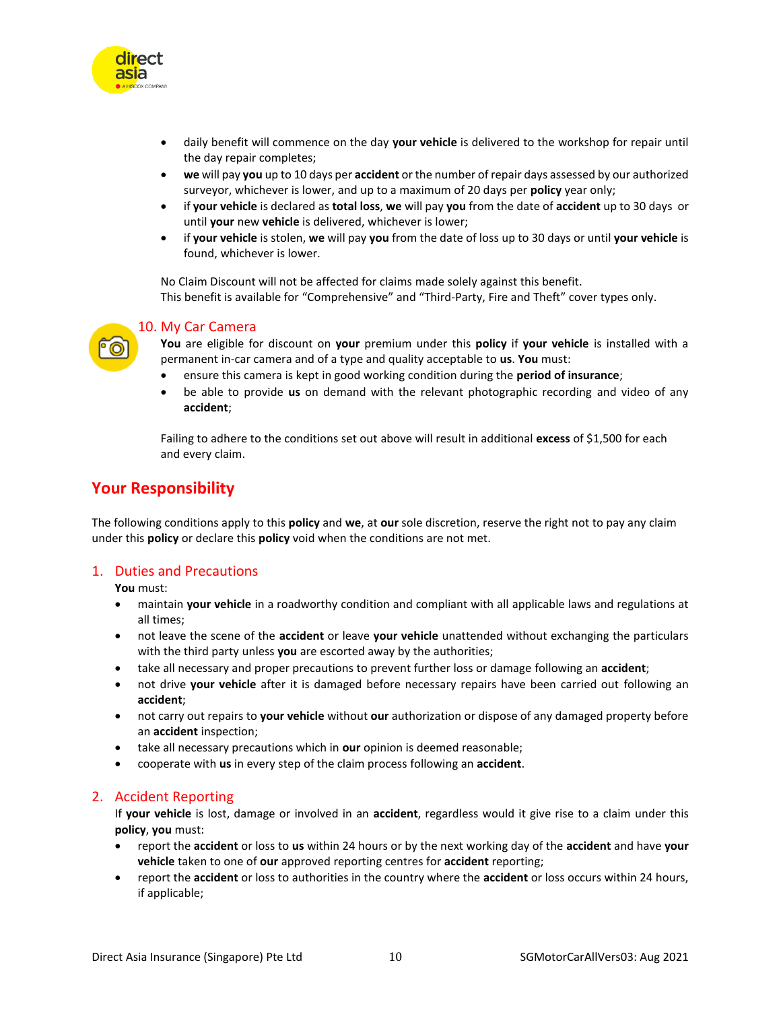

- daily benefit will commence on the day **your vehicle** is delivered to the workshop for repair until the day repair completes;
- **we** will pay **you** up to 10 days per **accident** or the number of repair days assessed by our authorized surveyor, whichever is lower, and up to a maximum of 20 days per **policy** year only;
- if **your vehicle** is declared as **total loss**, **we** will pay **you** from the date of **accident** up to 30 days or until **your** new **vehicle** is delivered, whichever is lower;
- if **your vehicle** is stolen, **we** will pay **you** from the date of loss up to 30 days or until **your vehicle** is found, whichever is lower.

No Claim Discount will not be affected for claims made solely against this benefit. This benefit is available for "Comprehensive" and "Third-Party, Fire and Theft" cover types only.

<span id="page-9-0"></span>

#### 10. My Car Camera

**You** are eligible for discount on **your** premium under this **policy** if **your vehicle** is installed with a permanent in-car camera and of a type and quality acceptable to **us**. **You** must:

- ensure this camera is kept in good working condition during the **period of insurance**;
- be able to provide **us** on demand with the relevant photographic recording and video of any **accident**;

Failing to adhere to the conditions set out above will result in additional **excess** of \$1,500 for each and every claim.

### <span id="page-9-1"></span>**Your Responsibility**

The following conditions apply to this **policy** and **we**, at **our** sole discretion, reserve the right not to pay any claim under this **policy** or declare this **policy** void when the conditions are not met.

#### <span id="page-9-2"></span>1. Duties and Precautions

**You** must:

- maintain **your vehicle** in a roadworthy condition and compliant with all applicable laws and regulations at all times;
- not leave the scene of the **accident** or leave **your vehicle** unattended without exchanging the particulars with the third party unless **you** are escorted away by the authorities;
- take all necessary and proper precautions to prevent further loss or damage following an **accident**;
- not drive **your vehicle** after it is damaged before necessary repairs have been carried out following an **accident**;
- not carry out repairs to **your vehicle** without **our** authorization or dispose of any damaged property before an **accident** inspection;
- take all necessary precautions which in **our** opinion is deemed reasonable;
- cooperate with **us** in every step of the claim process following an **accident**.

#### <span id="page-9-3"></span>2. Accident Reporting

If **your vehicle** is lost, damage or involved in an **accident**, regardless would it give rise to a claim under this **policy**, **you** must:

- report the **accident** or loss to **us** within 24 hours or by the next working day of the **accident** and have **your vehicle** taken to one of **our** approved reporting centres for **accident** reporting;
- report the **accident** or loss to authorities in the country where the **accident** or loss occurs within 24 hours, if applicable;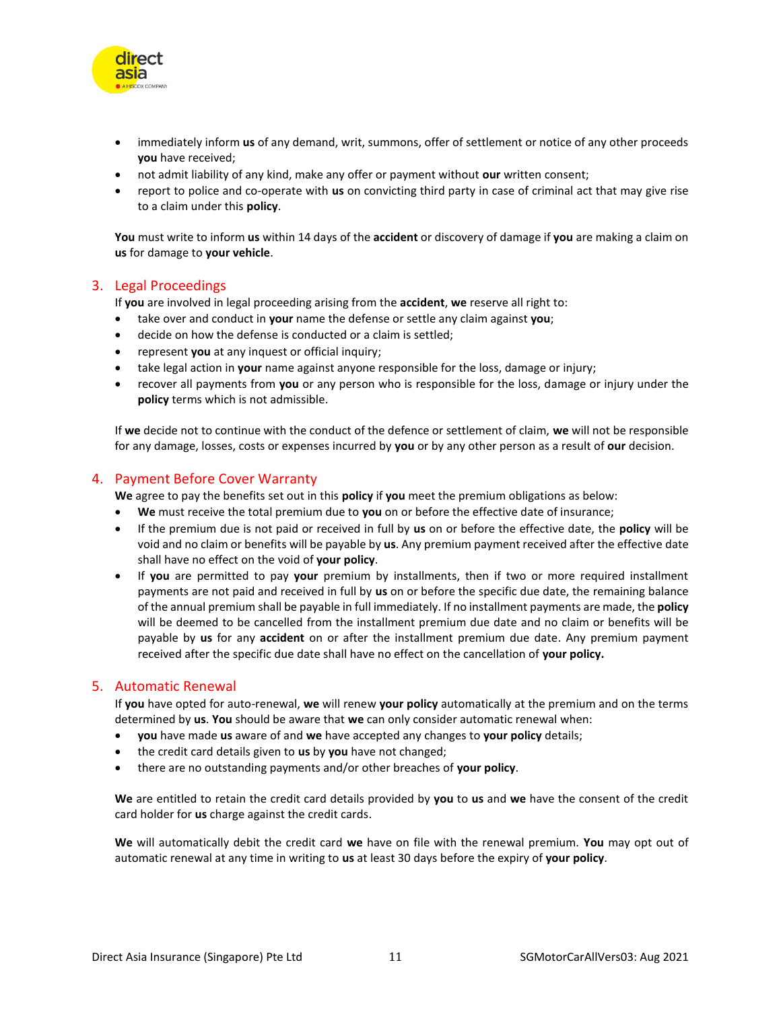

- immediately inform **us** of any demand, writ, summons, offer of settlement or notice of any other proceeds **you** have received;
- not admit liability of any kind, make any offer or payment without **our** written consent;
- report to police and co-operate with **us** on convicting third party in case of criminal act that may give rise to a claim under this **policy**.

**You** must write to inform **us** within 14 days of the **accident** or discovery of damage if **you** are making a claim on **us** for damage to **your vehicle**.

#### <span id="page-10-0"></span>3. Legal Proceedings

If **you** are involved in legal proceeding arising from the **accident**, **we** reserve all right to:

- take over and conduct in **your** name the defense or settle any claim against **you**;
- decide on how the defense is conducted or a claim is settled;
- represent **you** at any inquest or official inquiry;
- take legal action in **your** name against anyone responsible for the loss, damage or injury;
- recover all payments from **you** or any person who is responsible for the loss, damage or injury under the **policy** terms which is not admissible.

If **we** decide not to continue with the conduct of the defence or settlement of claim, **we** will not be responsible for any damage, losses, costs or expenses incurred by **you** or by any other person as a result of **our** decision.

#### <span id="page-10-1"></span>4. Payment Before Cover Warranty

**We** agree to pay the benefits set out in this **policy** if **you** meet the premium obligations as below:

- **We** must receive the total premium due to **you** on or before the effective date of insurance;
- If the premium due is not paid or received in full by **us** on or before the effective date, the **policy** will be void and no claim or benefits will be payable by **us**. Any premium payment received after the effective date shall have no effect on the void of **your policy**.
- If **you** are permitted to pay **your** premium by installments, then if two or more required installment payments are not paid and received in full by **us** on or before the specific due date, the remaining balance of the annual premium shall be payable in full immediately. If no installment payments are made, the **policy** will be deemed to be cancelled from the installment premium due date and no claim or benefits will be payable by **us** for any **accident** on or after the installment premium due date. Any premium payment received after the specific due date shall have no effect on the cancellation of **your policy.**

#### <span id="page-10-2"></span>5. Automatic Renewal

If **you** have opted for auto-renewal, **we** will renew **your policy** automatically at the premium and on the terms determined by **us**. **You** should be aware that **we** can only consider automatic renewal when:

- **you** have made **us** aware of and **we** have accepted any changes to **your policy** details;
- the credit card details given to **us** by **you** have not changed;
- there are no outstanding payments and/or other breaches of **your policy**.

**We** are entitled to retain the credit card details provided by **you** to **us** and **we** have the consent of the credit card holder for **us** charge against the credit cards.

**We** will automatically debit the credit card **we** have on file with the renewal premium. **You** may opt out of automatic renewal at any time in writing to **us** at least 30 days before the expiry of **your policy**.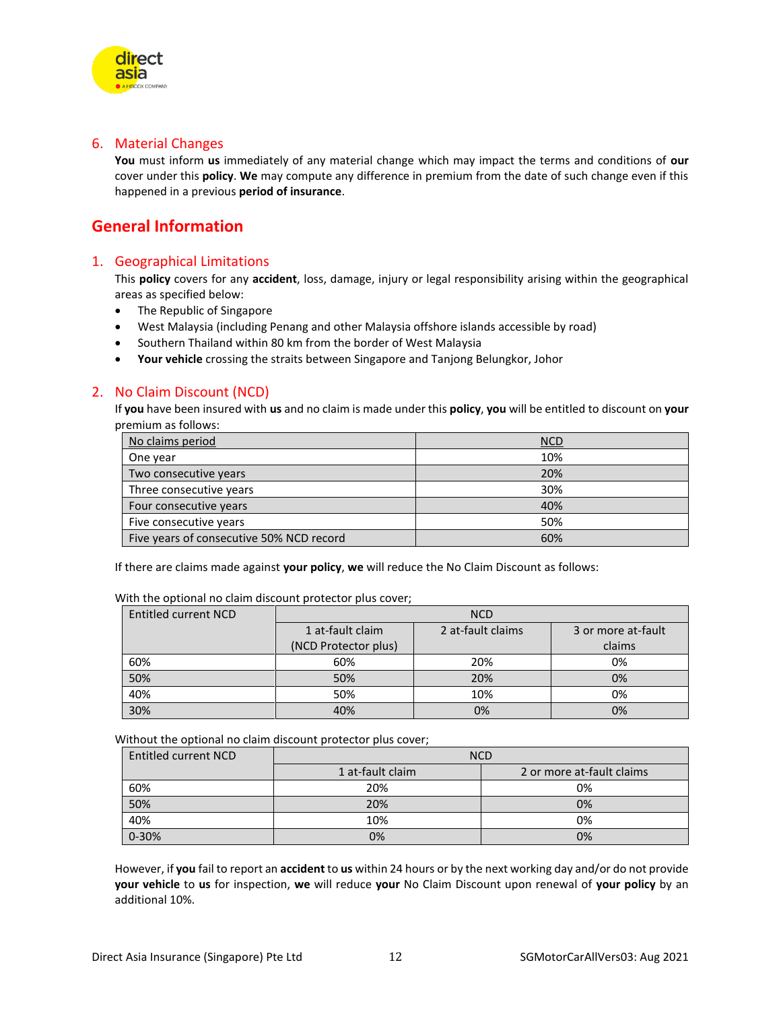<span id="page-11-0"></span>

direct asia

**You** must inform **us** immediately of any material change which may impact the terms and conditions of **our** cover under this **policy**. **We** may compute any difference in premium from the date of such change even if this happened in a previous **period of insurance**.

### <span id="page-11-1"></span>**General Information**

#### <span id="page-11-2"></span>1. Geographical Limitations

This **policy** covers for any **accident**, loss, damage, injury or legal responsibility arising within the geographical areas as specified below:

- The Republic of Singapore
- West Malaysia (including Penang and other Malaysia offshore islands accessible by road)
- Southern Thailand within 80 km from the border of West Malaysia
- **Your vehicle** crossing the straits between Singapore and Tanjong Belungkor, Johor

#### <span id="page-11-3"></span>2. No Claim Discount (NCD)

If **you** have been insured with **us** and no claim is made under this **policy**, **you** will be entitled to discount on **your** premium as follows:

| No claims period                         | <b>NCD</b> |
|------------------------------------------|------------|
| One year                                 | 10%        |
| Two consecutive years                    | 20%        |
| Three consecutive years                  | 30%        |
| Four consecutive years                   | 40%        |
| Five consecutive years                   | 50%        |
| Five years of consecutive 50% NCD record | 60%        |

If there are claims made against **your policy**, **we** will reduce the No Claim Discount as follows:

| Entitled current NCD | <b>NCD</b>           |                   |                    |
|----------------------|----------------------|-------------------|--------------------|
|                      | 1 at-fault claim     | 2 at-fault claims | 3 or more at-fault |
|                      | (NCD Protector plus) |                   | claims             |
| 60%                  | 60%                  | 20%               | 0%                 |
| 50%                  | 50%                  | 20%               | 0%                 |
| 40%                  | 50%                  | 10%               | 0%                 |
| 30%                  | 40%                  | 0%                | 0%                 |

With the optional no claim discount protector plus cover;

Without the optional no claim discount protector plus cover;

| <b>Entitled current NCD</b> | <b>NCD</b>       |                           |
|-----------------------------|------------------|---------------------------|
|                             | 1 at-fault claim | 2 or more at-fault claims |
| 60%                         | 20%              | 0%                        |
| 50%                         | 20%              | 0%                        |
| 40%                         | 10%              | 0%                        |
| $0 - 30%$                   | 0%               | 0%                        |

However, if **you** fail to report an **accident** to **us** within 24 hours or by the next working day and/or do not provide **your vehicle** to **us** for inspection, **we** will reduce **your** No Claim Discount upon renewal of **your policy** by an additional 10%.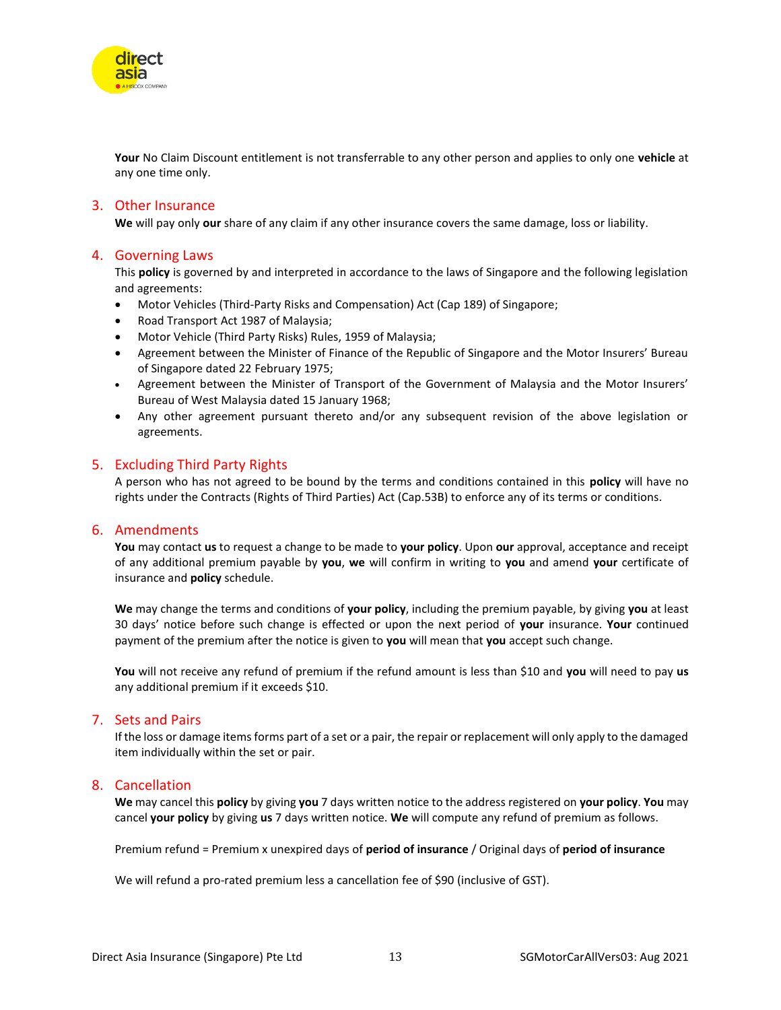

**Your** No Claim Discount entitlement is not transferrable to any other person and applies to only one **vehicle** at any one time only.

#### <span id="page-12-0"></span>3. Other Insurance

**We** will pay only **our** share of any claim if any other insurance covers the same damage, loss or liability.

#### <span id="page-12-1"></span>4. Governing Laws

This **policy** is governed by and interpreted in accordance to the laws of Singapore and the following legislation and agreements:

- Motor Vehicles (Third-Party Risks and Compensation) Act (Cap 189) of Singapore;
- Road Transport Act 1987 of Malaysia;
- Motor Vehicle (Third Party Risks) Rules, 1959 of Malaysia;
- Agreement between the Minister of Finance of the Republic of Singapore and the Motor Insurers' Bureau of Singapore dated 22 February 1975;
- Agreement between the Minister of Transport of the Government of Malaysia and the Motor Insurers' Bureau of West Malaysia dated 15 January 1968;
- Any other agreement pursuant thereto and/or any subsequent revision of the above legislation or agreements.

#### <span id="page-12-2"></span>5. Excluding Third Party Rights

A person who has not agreed to be bound by the terms and conditions contained in this **policy** will have no rights under the Contracts (Rights of Third Parties) Act (Cap.53B) to enforce any of its terms or conditions.

#### <span id="page-12-3"></span>6. Amendments

**You** may contact **us** to request a change to be made to **your policy**. Upon **our** approval, acceptance and receipt of any additional premium payable by **you**, **we** will confirm in writing to **you** and amend **your** certificate of insurance and **policy** schedule.

**We** may change the terms and conditions of **your policy**, including the premium payable, by giving **you** at least 30 days' notice before such change is effected or upon the next period of **your** insurance. **Your** continued payment of the premium after the notice is given to **you** will mean that **you** accept such change.

**You** will not receive any refund of premium if the refund amount is less than \$10 and **you** will need to pay **us** any additional premium if it exceeds \$10.

#### <span id="page-12-4"></span>7. Sets and Pairs

If the loss or damage items forms part of a set or a pair, the repair or replacement will only apply to the damaged item individually within the set or pair.

#### <span id="page-12-5"></span>8. Cancellation

**We** may cancel this **policy** by giving **you** 7 days written notice to the address registered on **your policy**. **You** may cancel **your policy** by giving **us** 7 days written notice. **We** will compute any refund of premium as follows.

Premium refund = Premium x unexpired days of **period of insurance** / Original days of **period of insurance**

We will refund a pro-rated premium less a cancellation fee of \$90 (inclusive of GST).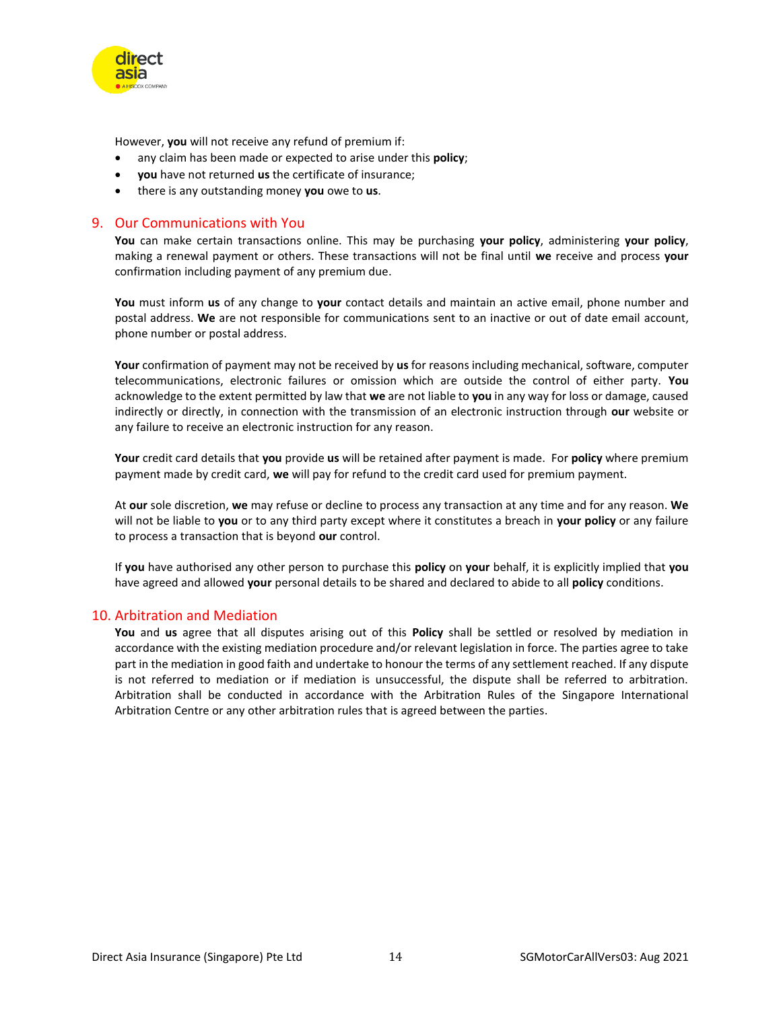

However, **you** will not receive any refund of premium if:

- any claim has been made or expected to arise under this **policy**;
- **you** have not returned **us** the certificate of insurance;
- there is any outstanding money **you** owe to **us**.

#### <span id="page-13-0"></span>9. Our Communications with You

**You** can make certain transactions online. This may be purchasing **your policy**, administering **your policy**, making a renewal payment or others. These transactions will not be final until **we** receive and process **your**  confirmation including payment of any premium due.

**You** must inform **us** of any change to **your** contact details and maintain an active email, phone number and postal address. **We** are not responsible for communications sent to an inactive or out of date email account, phone number or postal address.

**Your** confirmation of payment may not be received by **us** for reasons including mechanical, software, computer telecommunications, electronic failures or omission which are outside the control of either party. **You** acknowledge to the extent permitted by law that **we** are not liable to **you** in any way for loss or damage, caused indirectly or directly, in connection with the transmission of an electronic instruction through **our** website or any failure to receive an electronic instruction for any reason.

**Your** credit card details that **you** provide **us** will be retained after payment is made. For **policy** where premium payment made by credit card, **we** will pay for refund to the credit card used for premium payment.

At **our** sole discretion, **we** may refuse or decline to process any transaction at any time and for any reason. **We** will not be liable to **you** or to any third party except where it constitutes a breach in **your policy** or any failure to process a transaction that is beyond **our** control.

If **you** have authorised any other person to purchase this **policy** on **your** behalf, it is explicitly implied that **you** have agreed and allowed **your** personal details to be shared and declared to abide to all **policy** conditions.

#### <span id="page-13-1"></span>10. Arbitration and Mediation

**You** and **us** agree that all disputes arising out of this **Policy** shall be settled or resolved by mediation in accordance with the existing mediation procedure and/or relevant legislation in force. The parties agree to take part in the mediation in good faith and undertake to honour the terms of any settlement reached. If any dispute is not referred to mediation or if mediation is unsuccessful, the dispute shall be referred to arbitration. Arbitration shall be conducted in accordance with the Arbitration Rules of the Singapore International Arbitration Centre or any other arbitration rules that is agreed between the parties.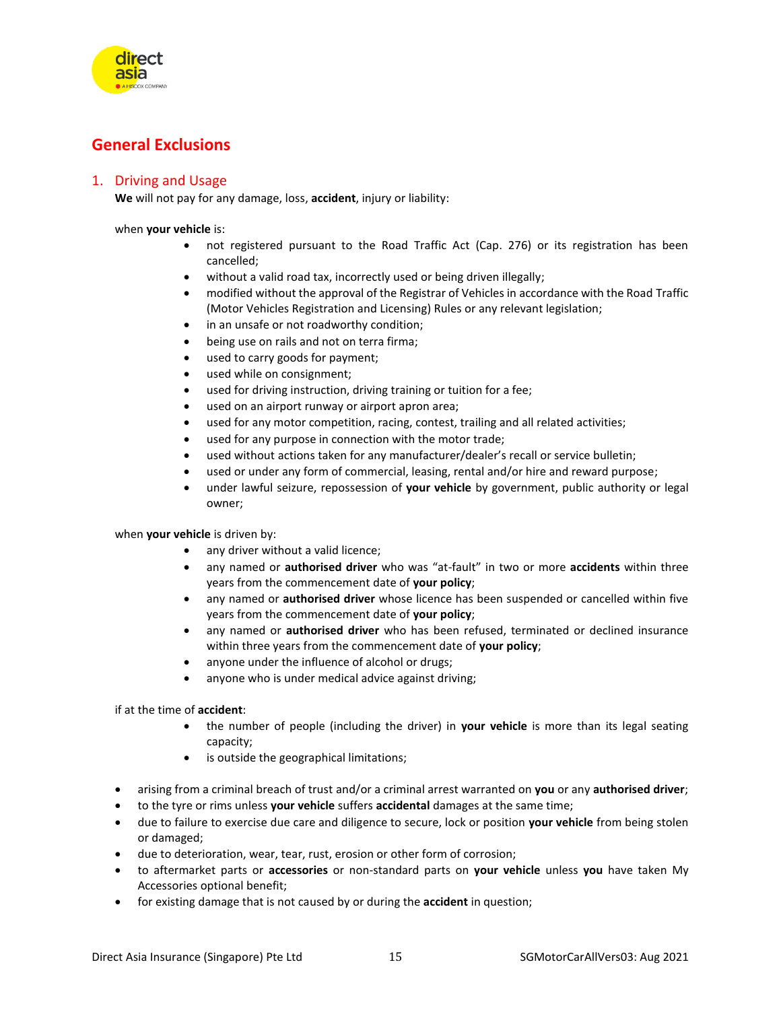

### <span id="page-14-0"></span>**General Exclusions**

#### <span id="page-14-1"></span>1. Driving and Usage

**We** will not pay for any damage, loss, **accident**, injury or liability:

when **your vehicle** is:

- not registered pursuant to the Road Traffic Act (Cap. 276) or its registration has been cancelled;
- without a valid road tax, incorrectly used or being driven illegally;
- modified without the approval of the Registrar of Vehicles in accordance with the Road Traffic (Motor Vehicles Registration and Licensing) Rules or any relevant legislation;
- in an unsafe or not roadworthy condition;
- being use on rails and not on terra firma;
- used to carry goods for payment;
- used while on consignment;
- used for driving instruction, driving training or tuition for a fee;
- used on an airport runway or airport apron area;
- used for any motor competition, racing, contest, trailing and all related activities;
- used for any purpose in connection with the motor trade;
- used without actions taken for any manufacturer/dealer's recall or service bulletin;
- used or under any form of commercial, leasing, rental and/or hire and reward purpose;
- under lawful seizure, repossession of **your vehicle** by government, public authority or legal owner;

when **your vehicle** is driven by:

- any driver without a valid licence;
- any named or **authorised driver** who was "at-fault" in two or more **accidents** within three years from the commencement date of **your policy**;
- any named or **authorised driver** whose licence has been suspended or cancelled within five years from the commencement date of **your policy**;
- any named or **authorised driver** who has been refused, terminated or declined insurance within three years from the commencement date of **your policy**;
- anyone under the influence of alcohol or drugs;
- anyone who is under medical advice against driving;

if at the time of **accident**:

- the number of people (including the driver) in **your vehicle** is more than its legal seating capacity;
- is outside the geographical limitations;
- arising from a criminal breach of trust and/or a criminal arrest warranted on **you** or any **authorised driver**;
- to the tyre or rims unless **your vehicle** suffers **accidental** damages at the same time;
- due to failure to exercise due care and diligence to secure, lock or position **your vehicle** from being stolen or damaged;
- due to deterioration, wear, tear, rust, erosion or other form of corrosion;
- to aftermarket parts or **accessories** or non-standard parts on **your vehicle** unless **you** have taken My Accessories optional benefit;
- for existing damage that is not caused by or during the **accident** in question;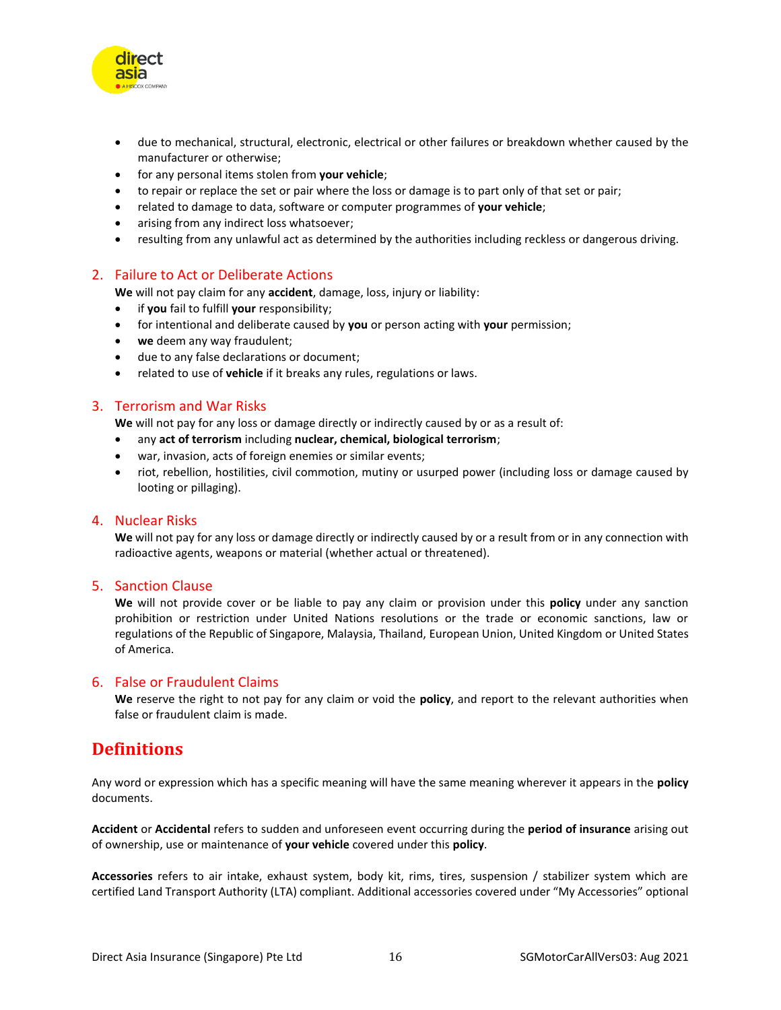

- due to mechanical, structural, electronic, electrical or other failures or breakdown whether caused by the manufacturer or otherwise;
- for any personal items stolen from **your vehicle**;
- to repair or replace the set or pair where the loss or damage is to part only of that set or pair;
- related to damage to data, software or computer programmes of **your vehicle**;
- arising from any indirect loss whatsoever;
- resulting from any unlawful act as determined by the authorities including reckless or dangerous driving.

#### <span id="page-15-0"></span>2. Failure to Act or Deliberate Actions

**We** will not pay claim for any **accident**, damage, loss, injury or liability:

- if **you** fail to fulfill **your** responsibility;
- for intentional and deliberate caused by **you** or person acting with **your** permission;
- **we** deem any way fraudulent;
- due to any false declarations or document;
- related to use of **vehicle** if it breaks any rules, regulations or laws.

#### <span id="page-15-1"></span>3. Terrorism and War Risks

**We** will not pay for any loss or damage directly or indirectly caused by or as a result of:

- any **act of terrorism** including **nuclear, chemical, biological terrorism**;
- war, invasion, acts of foreign enemies or similar events;
- riot, rebellion, hostilities, civil commotion, mutiny or usurped power (including loss or damage caused by looting or pillaging).

#### <span id="page-15-2"></span>4. Nuclear Risks

**We** will not pay for any loss or damage directly or indirectly caused by or a result from or in any connection with radioactive agents, weapons or material (whether actual or threatened).

#### <span id="page-15-3"></span>5. Sanction Clause

**We** will not provide cover or be liable to pay any claim or provision under this **policy** under any sanction prohibition or restriction under United Nations resolutions or the trade or economic sanctions, law or regulations of the Republic of Singapore, Malaysia, Thailand, European Union, United Kingdom or United States of America.

#### <span id="page-15-4"></span>6. False or Fraudulent Claims

**We** reserve the right to not pay for any claim or void the **policy**, and report to the relevant authorities when false or fraudulent claim is made.

### <span id="page-15-5"></span>**Definitions**

Any word or expression which has a specific meaning will have the same meaning wherever it appears in the **policy** documents.

**Accident** or **Accidental** refers to sudden and unforeseen event occurring during the **period of insurance** arising out of ownership, use or maintenance of **your vehicle** covered under this **policy**.

**Accessories** refers to air intake, exhaust system, body kit, rims, tires, suspension / stabilizer system which are certified Land Transport Authority (LTA) compliant. Additional accessories covered under "My Accessories" optional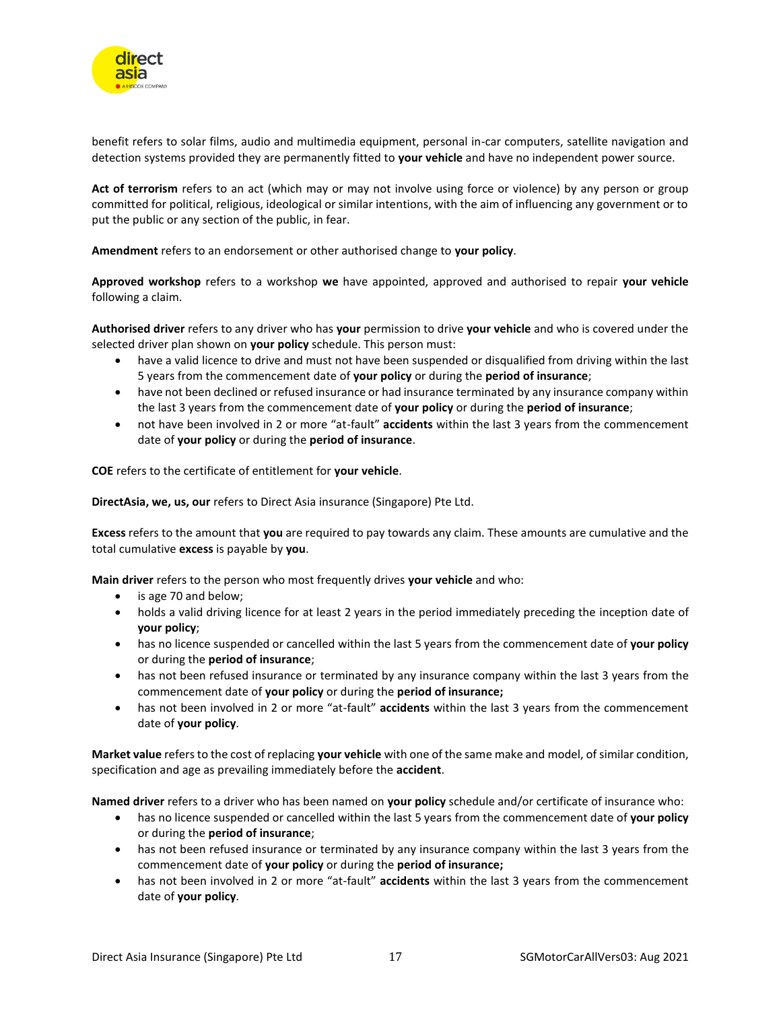

benefit refers to solar films, audio and multimedia equipment, personal in-car computers, satellite navigation and detection systems provided they are permanently fitted to **your vehicle** and have no independent power source.

**Act of terrorism** refers to an act (which may or may not involve using force or violence) by any person or group committed for political, religious, ideological or similar intentions, with the aim of influencing any government or to put the public or any section of the public, in fear.

**Amendment** refers to an endorsement or other authorised change to **your policy**.

**Approved workshop** refers to a workshop **we** have appointed, approved and authorised to repair **your vehicle** following a claim.

**Authorised driver** refers to any driver who has **your** permission to drive **your vehicle** and who is covered under the selected driver plan shown on **your policy** schedule. This person must:

- have a valid licence to drive and must not have been suspended or disqualified from driving within the last 5 years from the commencement date of **your policy** or during the **period of insurance**;
- have not been declined or refused insurance or had insurance terminated by any insurance company within the last 3 years from the commencement date of **your policy** or during the **period of insurance**;
- not have been involved in 2 or more "at-fault" **accidents** within the last 3 years from the commencement date of **your policy** or during the **period of insurance**.

**COE** refers to the certificate of entitlement for **your vehicle**.

**DirectAsia, we, us, our** refers to Direct Asia insurance (Singapore) Pte Ltd.

**Excess** refers to the amount that **you** are required to pay towards any claim. These amounts are cumulative and the total cumulative **excess** is payable by **you**.

**Main driver** refers to the person who most frequently drives **your vehicle** and who:

- is age 70 and below;
- holds a valid driving licence for at least 2 years in the period immediately preceding the inception date of **your policy**;
- has no licence suspended or cancelled within the last 5 years from the commencement date of **your policy** or during the **period of insurance**;
- has not been refused insurance or terminated by any insurance company within the last 3 years from the commencement date of **your policy** or during the **period of insurance;**
- has not been involved in 2 or more "at-fault" **accidents** within the last 3 years from the commencement date of **your policy**.

**Market value** refers to the cost of replacing **your vehicle** with one of the same make and model, of similar condition, specification and age as prevailing immediately before the **accident**.

**Named driver** refers to a driver who has been named on **your policy** schedule and/or certificate of insurance who:

- has no licence suspended or cancelled within the last 5 years from the commencement date of **your policy** or during the **period of insurance**;
- has not been refused insurance or terminated by any insurance company within the last 3 years from the commencement date of **your policy** or during the **period of insurance;**
- has not been involved in 2 or more "at-fault" **accidents** within the last 3 years from the commencement date of **your policy**.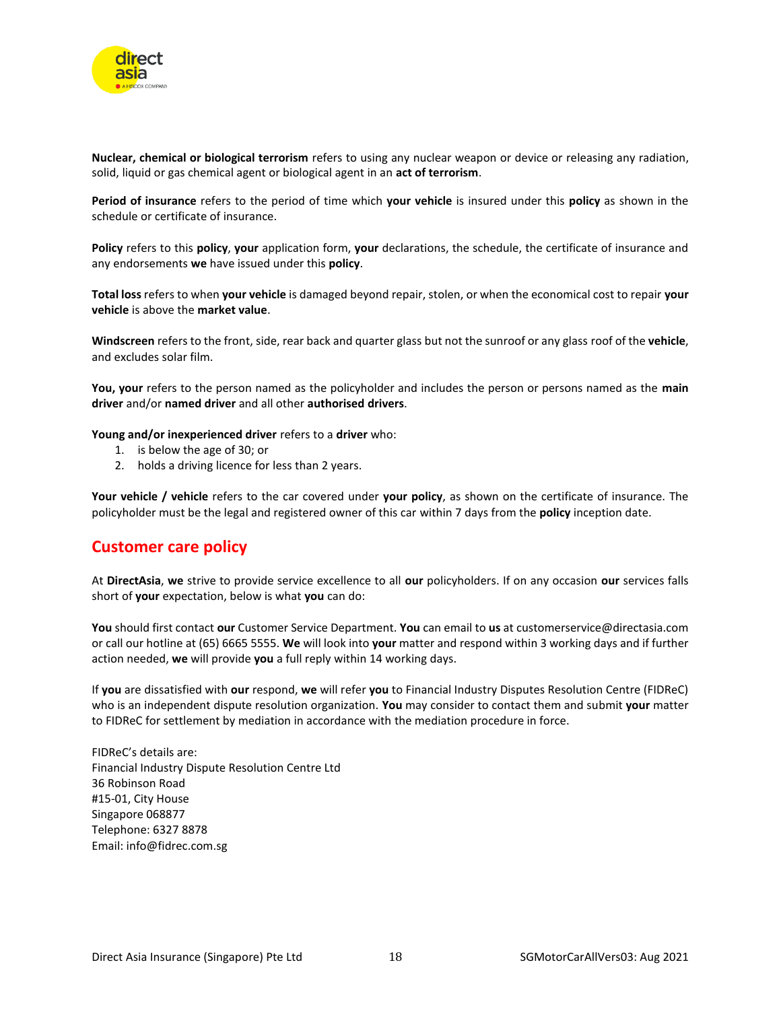

**Nuclear, chemical or biological terrorism** refers to using any nuclear weapon or device or releasing any radiation, solid, liquid or gas chemical agent or biological agent in an **act of terrorism**.

**Period of insurance** refers to the period of time which **your vehicle** is insured under this **policy** as shown in the schedule or certificate of insurance.

**Policy** refers to this **policy**, **your** application form, **your** declarations, the schedule, the certificate of insurance and any endorsements **we** have issued under this **policy**.

**Total loss** refers to when **your vehicle** is damaged beyond repair, stolen, or when the economical cost to repair **your vehicle** is above the **market value**.

**Windscreen** refers to the front, side, rear back and quarter glass but not the sunroof or any glass roof of the **vehicle**, and excludes solar film.

**You, your** refers to the person named as the policyholder and includes the person or persons named as the **main driver** and/or **named driver** and all other **authorised drivers**.

**Young and/or inexperienced driver** refers to a **driver** who:

- 1. is below the age of 30; or
- 2. holds a driving licence for less than 2 years.

**Your vehicle / vehicle** refers to the car covered under **your policy**, as shown on the certificate of insurance. The policyholder must be the legal and registered owner of this car within 7 days from the **policy** inception date.

### <span id="page-17-0"></span>**Customer care policy**

At **DirectAsia**, **we** strive to provide service excellence to all **our** policyholders. If on any occasion **our** services falls short of **your** expectation, below is what **you** can do:

**You** should first contact **our** Customer Service Department. **You** can email to **us** at customerservice@directasia.com or call our hotline at (65) 6665 5555. **We** will look into **your** matter and respond within 3 working days and if further action needed, **we** will provide **you** a full reply within 14 working days.

If **you** are dissatisfied with **our** respond, **we** will refer **you** to Financial Industry Disputes Resolution Centre (FIDReC) who is an independent dispute resolution organization. **You** may consider to contact them and submit **your** matter to FIDReC for settlement by mediation in accordance with the mediation procedure in force.

FIDReC's details are: Financial Industry Dispute Resolution Centre Ltd 36 Robinson Road #15-01, City House Singapore 068877 Telephone: 6327 8878 Email: info@fidrec.com.sg